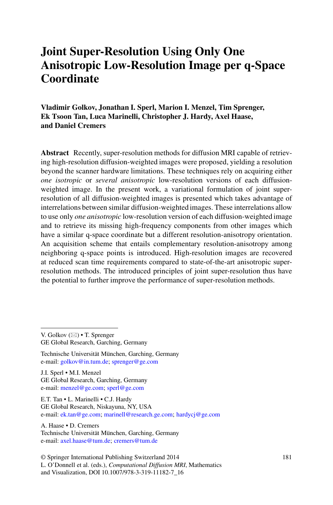# **Joint Super-Resolution Using Only One Anisotropic Low-Resolution Image per q-Space Coordinate**

**Vladimir Golkov, Jonathan I. Sperl, Marion I. Menzel, Tim Sprenger, Ek Tsoon Tan, Luca Marinelli, Christopher J. Hardy, Axel Haase, and Daniel Cremers**

**Abstract** Recently, super-resolution methods for diffusion MRI capable of retrieving high-resolution diffusion-weighted images were proposed, yielding a resolution beyond the scanner hardware limitations. These techniques rely on acquiring either *one isotropic* or *several anisotropic* low-resolution versions of each diffusionweighted image. In the present work, a variational formulation of joint superresolution of all diffusion-weighted images is presented which takes advantage of interrelations between similar diffusion-weighted images. These interrelations allow to use only *one anisotropic* low-resolution version of each diffusion-weighted image and to retrieve its missing high-frequency components from other images which have a similar q-space coordinate but a different resolution-anisotropy orientation. An acquisition scheme that entails complementary resolution-anisotropy among neighboring q-space points is introduced. High-resolution images are recovered at reduced scan time requirements compared to state-of-the-art anisotropic superresolution methods. The introduced principles of joint super-resolution thus have the potential to further improve the performance of super-resolution methods.

Technische Universität München, Garching, Germany e-mail: [golkov@in.tum.de;](mailto:golkov@in.tum.de) [sprenger@ge.com](mailto:sprenger@ge.com)

J.I. Sperl • M.I. Menzel GE Global Research, Garching, Germany e-mail: [menzel@ge.com;](mailto:menzel@ge.com) [sperl@ge.com](mailto:sperl@ge.com)

E.T. Tan • L. Marinelli • C.J. Hardy GE Global Research, Niskayuna, NY, USA e-mail: [ek.tan@ge.com;](mailto:ek.tan@ge.com) [marinell@research.ge.com;](mailto:marinell@research.ge.com) [hardycj@ge.com](mailto:hardycj@ge.com)

A. Haase • D. Cremers Technische Universität München, Garching, Germany e-mail: [axel.haase@tum.de;](mailto:axel.haase@tum.de) [cremers@tum.de](mailto:cremers@tum.de)

© Springer International Publishing Switzerland 2014 L. O'Donnell et al. (eds.), *Computational Diffusion MRI*, Mathematics and Visualization, DOI 10.1007/978-3-319-11182-7\_16

V. Golkov  $(\boxtimes) \bullet$  T. Sprenger

GE Global Research, Garching, Germany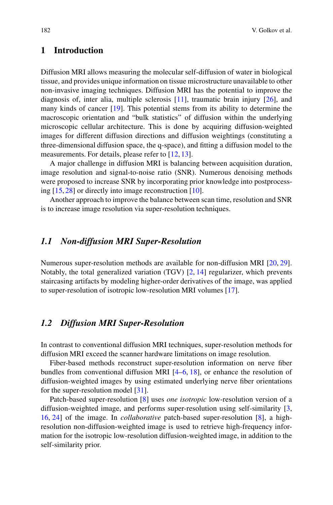# **1 Introduction**

Diffusion MRI allows measuring the molecular self-diffusion of water in biological tissue, and provides unique information on tissue microstructure unavailable to other non-invasive imaging techniques. Diffusion MRI has the potential to improve the diagnosis of, inter alia, multiple sclerosis [\[11\]](#page-9-0), traumatic brain injury [\[26\]](#page-9-1), and many kinds of cancer [\[19\]](#page-9-2). This potential stems from its ability to determine the macroscopic orientation and "bulk statistics" of diffusion within the underlying microscopic cellular architecture. This is done by acquiring diffusion-weighted images for different diffusion directions and diffusion weightings (constituting a three-dimensional diffusion space, the q-space), and fitting a diffusion model to the measurements. For details, please refer to [\[12,](#page-9-3) [13\]](#page-9-4).

A major challenge in diffusion MRI is balancing between acquisition duration, image resolution and signal-to-noise ratio (SNR). Numerous denoising methods were proposed to increase SNR by incorporating prior knowledge into postprocessing [\[15,](#page-9-5) [28\]](#page-10-0) or directly into image reconstruction [\[10\]](#page-9-6).

Another approach to improve the balance between scan time, resolution and SNR is to increase image resolution via super-resolution techniques.

#### *1.1 Non-diffusion MRI Super-Resolution*

Numerous super-resolution methods are available for non-diffusion MRI [\[20,](#page-9-7) [29\]](#page-10-1). Notably, the total generalized variation  $(TGV)$  [\[2,](#page-8-0) [14\]](#page-9-8) regularizer, which prevents staircasing artifacts by modeling higher-order derivatives of the image, was applied to super-resolution of isotropic low-resolution MRI volumes [\[17\]](#page-9-9).

#### *1.2 Diffusion MRI Super-Resolution*

In contrast to conventional diffusion MRI techniques, super-resolution methods for diffusion MRI exceed the scanner hardware limitations on image resolution.

Fiber-based methods reconstruct super-resolution information on nerve fiber bundles from conventional diffusion MRI [\[4–](#page-8-1)[6,](#page-8-2) [18\]](#page-9-10), or enhance the resolution of diffusion-weighted images by using estimated underlying nerve fiber orientations for the super-resolution model [\[31\]](#page-10-2).

Patch-based super-resolution [\[8\]](#page-8-3) uses *one isotropic* low-resolution version of a diffusion-weighted image, and performs super-resolution using self-similarity [\[3,](#page-8-4) [16,](#page-9-11) [24\]](#page-9-12) of the image. In *collaborative* patch-based super-resolution [\[8\]](#page-8-3), a highresolution non-diffusion-weighted image is used to retrieve high-frequency information for the isotropic low-resolution diffusion-weighted image, in addition to the self-similarity prior.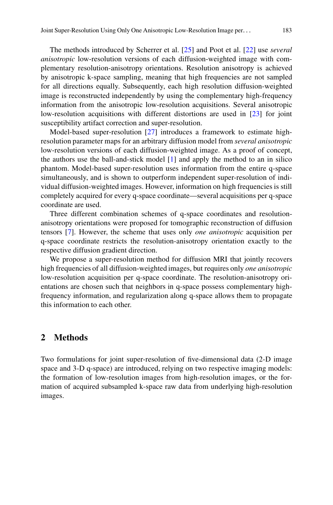The methods introduced by Scherrer et al. [\[25\]](#page-9-13) and Poot et al. [\[22\]](#page-9-14) use *several anisotropic* low-resolution versions of each diffusion-weighted image with complementary resolution-anisotropy orientations. Resolution anisotropy is achieved by anisotropic k-space sampling, meaning that high frequencies are not sampled for all directions equally. Subsequently, each high resolution diffusion-weighted image is reconstructed independently by using the complementary high-frequency information from the anisotropic low-resolution acquisitions. Several anisotropic low-resolution acquisitions with different distortions are used in [\[23\]](#page-9-15) for joint susceptibility artifact correction and super-resolution.

Model-based super-resolution [\[27\]](#page-9-16) introduces a framework to estimate highresolution parameter maps for an arbitrary diffusion model from *several anisotropic* low-resolution versions of each diffusion-weighted image. As a proof of concept, the authors use the ball-and-stick model [\[1\]](#page-8-5) and apply the method to an in silico phantom. Model-based super-resolution uses information from the entire q-space simultaneously, and is shown to outperform independent super-resolution of individual diffusion-weighted images. However, information on high frequencies is still completely acquired for every q-space coordinate—several acquisitions per q-space coordinate are used.

Three different combination schemes of q-space coordinates and resolutionanisotropy orientations were proposed for tomographic reconstruction of diffusion tensors [\[7\]](#page-8-6). However, the scheme that uses only *one anisotropic* acquisition per q-space coordinate restricts the resolution-anisotropy orientation exactly to the respective diffusion gradient direction.

We propose a super-resolution method for diffusion MRI that jointly recovers high frequencies of all diffusion-weighted images, but requires only *one anisotropic* low-resolution acquisition per q-space coordinate. The resolution-anisotropy orientations are chosen such that neighbors in q-space possess complementary highfrequency information, and regularization along q-space allows them to propagate this information to each other.

### **2 Methods**

Two formulations for joint super-resolution of five-dimensional data (2-D image space and 3-D q-space) are introduced, relying on two respective imaging models: the formation of low-resolution images from high-resolution images, or the formation of acquired subsampled k-space raw data from underlying high-resolution images.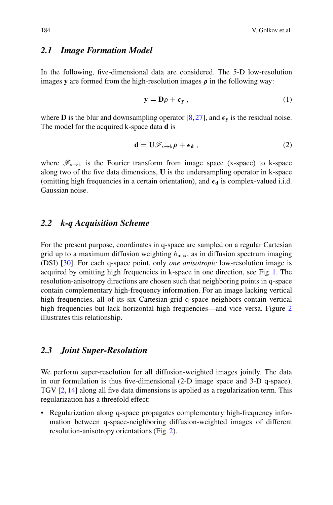#### *2.1 Image Formation Model*

In the following, five-dimensional data are considered. The 5-D low-resolution images **y** are formed from the high-resolution images  $\rho$  in the following way:

<span id="page-3-1"></span><span id="page-3-0"></span>
$$
\mathbf{y} = \mathbf{D}\rho + \boldsymbol{\epsilon}_{\mathbf{y}}\,,\tag{1}
$$

where **D** is the blur and downsampling operator  $[8, 27]$  $[8, 27]$  $[8, 27]$ , and  $\epsilon_y$  is the residual noise. The model for the acquired k-space data **d** is

$$
\mathbf{d} = \mathbf{U}\mathscr{F}_{\mathbf{x}\to\mathbf{k}}\boldsymbol{\rho} + \boldsymbol{\epsilon}_{\mathbf{d}}\,,\tag{2}
$$

where  $\mathscr{F}_{x\to k}$  is the Fourier transform from image space (x-space) to k-space along two of the five data dimensions, **U** is the undersampling operator in k-space (omitting high frequencies in a certain orientation), and  $\epsilon_d$  is complex-valued i.i.d. Gaussian noise.

### <span id="page-3-2"></span>*2.2 k-q Acquisition Scheme*

For the present purpose, coordinates in q-space are sampled on a regular Cartesian grid up to a maximum diffusion weighting  $b_{\text{max}}$ , as in diffusion spectrum imaging (DSI) [\[30\]](#page-10-3). For each q-space point, only *one anisotropic* low-resolution image is acquired by omitting high frequencies in k-space in one direction, see Fig. [1.](#page-4-0) The resolution-anisotropy directions are chosen such that neighboring points in q-space contain complementary high-frequency information. For an image lacking vertical high frequencies, all of its six Cartesian-grid q-space neighbors contain vertical high frequencies but lack horizontal high frequencies—and vice versa. Figure [2](#page-5-0) illustrates this relationship.

## *2.3 Joint Super-Resolution*

We perform super-resolution for all diffusion-weighted images jointly. The data in our formulation is thus five-dimensional (2-D image space and 3-D q-space). TGV [\[2,](#page-8-0) [14\]](#page-9-8) along all five data dimensions is applied as a regularization term. This regularization has a threefold effect:

• Regularization along q-space propagates complementary high-frequency information between q-space-neighboring diffusion-weighted images of different resolution-anisotropy orientations (Fig. [2\)](#page-5-0).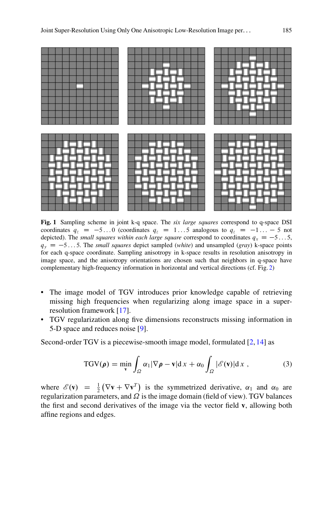

<span id="page-4-0"></span>**Fig. 1** Sampling scheme in joint k-q space. The *six large squares* correspond to q-space DSI coordinates  $q_z = -5...0$  (coordinates  $q_z = 1...5$  analogous to  $q_z = -1... - 5$  not depicted). The *small squares within each large square* correspond to coordinates  $q_x = -5...5$ ,  $q_y = -5...5$ . The *small squares* depict sampled (*white*) and unsampled (*gray*) k-space points for each q-space coordinate. Sampling anisotropy in k-space results in resolution anisotropy in image space, and the anisotropy orientations are chosen such that neighbors in q-space have complementary high-frequency information in horizontal and vertical directions (cf. Fig. [2\)](#page-5-0)

- The image model of TGV introduces prior knowledge capable of retrieving missing high frequencies when regularizing along image space in a superresolution framework [\[17\]](#page-9-9).
- TGV regularization along five dimensions reconstructs missing information in 5-D space and reduces noise [\[9\]](#page-8-7).

Second-order TGV is a piecewise-smooth image model, formulated [\[2,](#page-8-0) [14\]](#page-9-8) as

$$
TGV(\rho) = \min_{\mathbf{v}} \int_{\Omega} \alpha_1 |\nabla \rho - \mathbf{v}| \, \mathrm{d}x + \alpha_0 \int_{\Omega} |\mathscr{E}(\mathbf{v})| \, \mathrm{d}x \;, \tag{3}
$$

where  $\mathscr{E}(\mathbf{v}) = \frac{1}{2} (\nabla \mathbf{v} + \nabla \mathbf{v}^T)$  is the symmetrized derivative,  $\alpha_1$  and  $\alpha_0$  are regularization parameters, and  $\Omega$  is the image domain (field of view). TGV balances the first and second derivatives of the image via the vector field **v**, allowing both affine regions and edges.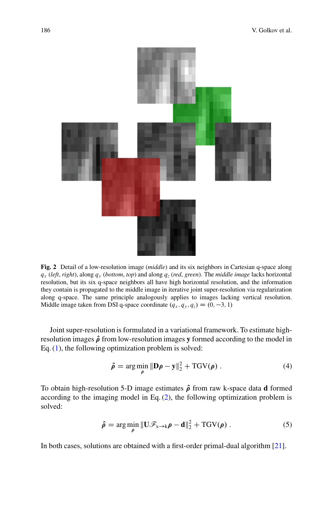

<span id="page-5-0"></span>**Fig. 2** Detail of a low-resolution image (*middle*) and its six neighbors in Cartesian q-space along  $q_x$  (*left*, *right*), along  $q_y$  (*bottom*, *top*) and along  $q_z$  (*red*, *green*). The *middle image* lacks horizontal resolution, but its six q-space neighbors all have high horizontal resolution, and the information they contain is propagated to the middle image in iterative joint super-resolution via regularization along q-space. The same principle analogously applies to images lacking vertical resolution. Middle image taken from DSI q-space coordinate  $(q_x, q_y, q_z) = (0, -3, 1)$ 

Joint super-resolution is formulated in a variational framework. To estimate highresolution images  $\hat{\rho}$  from low-resolution images **y** formed according to the model in Eq.  $(1)$ , the following optimization problem is solved:

<span id="page-5-1"></span>
$$
\hat{\rho} = \arg\min_{\rho} \|\mathbf{D}\rho - \mathbf{y}\|_2^2 + \text{TGV}(\rho) \tag{4}
$$

<span id="page-5-2"></span>To obtain high-resolution 5-D image estimates  $\hat{\rho}$  from raw k-space data **d** formed according to the imaging model in Eq.  $(2)$ , the following optimization problem is solved:

$$
\hat{\rho} = \arg\min_{\rho} \|\mathbf{U}\mathscr{F}_{\mathbf{x}\to\mathbf{k}}\rho - \mathbf{d}\|_2^2 + \mathrm{TGV}(\rho) \ . \tag{5}
$$

In both cases, solutions are obtained with a first-order primal-dual algorithm [\[21\]](#page-9-17).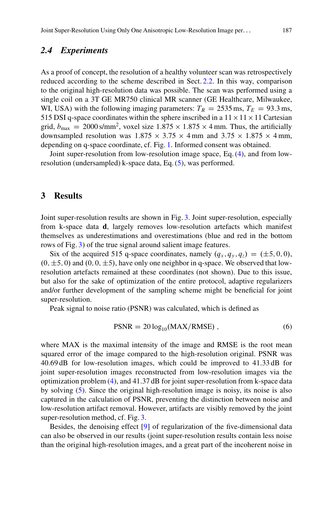### *2.4 Experiments*

As a proof of concept, the resolution of a healthy volunteer scan was retrospectively reduced according to the scheme described in Sect. [2.2.](#page-3-2) In this way, comparison to the original high-resolution data was possible. The scan was performed using a single coil on a 3T GE MR750 clinical MR scanner (GE Healthcare, Milwaukee, WI, USA) with the following imaging parameters:  $T_R = 2535$  ms,  $T_E = 93.3$  ms, 515 DSI q-space coordinates within the sphere inscribed in a  $11 \times 11 \times 11$  Cartesian grid,  $b_{\text{max}} = 2000 \text{ s/mm}^2$ , voxel size  $1.875 \times 1.875 \times 4 \text{ mm}$ . Thus, the artificially downsampled resolution was  $1.875 \times 3.75 \times 4 \text{ mm}$  and  $3.75 \times 1.875 \times 4 \text{ mm}$ , depending on q-space coordinate, cf. Fig. [1.](#page-4-0) Informed consent was obtained.

Joint super-resolution from low-resolution image space, Eq. [\(4\)](#page-5-1), and from lowresolution (undersampled) k-space data, Eq. [\(5\)](#page-5-2), was performed.

### **3 Results**

Joint super-resolution results are shown in Fig. [3.](#page-7-0) Joint super-resolution, especially from k-space data **d**, largely removes low-resolution artefacts which manifest themselves as underestimations and overestimations (blue and red in the bottom rows of Fig. [3\)](#page-7-0) of the true signal around salient image features.

Six of the acquired 515 q-space coordinates, namely  $(q_x, q_y, q_z) = (\pm 5, 0, 0),$  $(0, \pm 5, 0)$  and  $(0, 0, \pm 5)$ , have only one neighbor in q-space. We observed that lowresolution artefacts remained at these coordinates (not shown). Due to this issue, but also for the sake of optimization of the entire protocol, adaptive regularizers and/or further development of the sampling scheme might be beneficial for joint super-resolution.

Peak signal to noise ratio (PSNR) was calculated, which is defined as

$$
PSNR = 20 \log_{10}(MAX/RMSE), \qquad (6)
$$

where MAX is the maximal intensity of the image and RMSE is the root mean squared error of the image compared to the high-resolution original. PSNR was 40:69 dB for low-resolution images, which could be improved to 41:33 dB for joint super-resolution images reconstructed from low-resolution images via the optimization problem [\(4\)](#page-5-1), and 41:37 dB for joint super-resolution from k-space data by solving [\(5\)](#page-5-2). Since the original high-resolution image is noisy, its noise is also captured in the calculation of PSNR, preventing the distinction between noise and low-resolution artifact removal. However, artifacts are visibly removed by the joint super-resolution method, cf. Fig. [3.](#page-7-0)

Besides, the denoising effect [\[9\]](#page-8-7) of regularization of the five-dimensional data can also be observed in our results (joint super-resolution results contain less noise than the original high-resolution images, and a great part of the incoherent noise in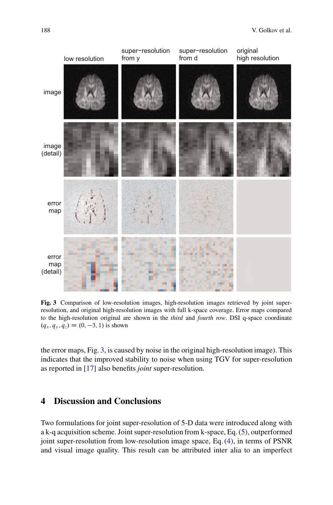

<span id="page-7-0"></span>**Fig. 3** Comparison of low-resolution images, high-resolution images retrieved by joint superresolution, and original high-resolution images with full k-space coverage. Error maps compared to the high-resolution original are shown in the *third* and *fourth row*. DSI q-space coordinate  $(q_x, q_y, q_z) = (0, -3, 1)$  is shown

the error maps, Fig. [3,](#page-7-0) is caused by noise in the original high-resolution image). This indicates that the improved stability to noise when using TGV for super-resolution as reported in [\[17\]](#page-9-9) also benefits *joint* super-resolution.

# **4 Discussion and Conclusions**

Two formulations for joint super-resolution of 5-D data were introduced along with a k-q acquisition scheme. Joint super-resolution from k-space, Eq. [\(5\)](#page-5-2), outperformed joint super-resolution from low-resolution image space, Eq. [\(4\)](#page-5-1), in terms of PSNR and visual image quality. This result can be attributed inter alia to an imperfect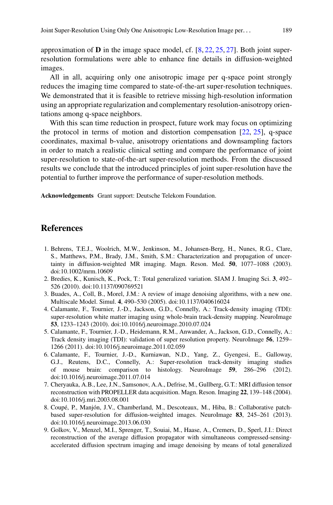approximation of **D** in the image space model, cf. [\[8,](#page-8-3) [22,](#page-9-14) [25,](#page-9-13) [27\]](#page-9-16). Both joint superresolution formulations were able to enhance fine details in diffusion-weighted images.

All in all, acquiring only one anisotropic image per q-space point strongly reduces the imaging time compared to state-of-the-art super-resolution techniques. We demonstrated that it is feasible to retrieve missing high-resolution information using an appropriate regularization and complementary resolution-anisotropy orientations among q-space neighbors.

With this scan time reduction in prospect, future work may focus on optimizing the protocol in terms of motion and distortion compensation [\[22,](#page-9-14) [25\]](#page-9-13), q-space coordinates, maximal b-value, anisotropy orientations and downsampling factors in order to match a realistic clinical setting and compare the performance of joint super-resolution to state-of-the-art super-resolution methods. From the discussed results we conclude that the introduced principles of joint super-resolution have the potential to further improve the performance of super-resolution methods.

**Acknowledgements** Grant support: Deutsche Telekom Foundation.

### **References**

- <span id="page-8-5"></span>1. Behrens, T.E.J., Woolrich, M.W., Jenkinson, M., Johansen-Berg, H., Nunes, R.G., Clare, S., Matthews, P.M., Brady, J.M., Smith, S.M.: Characterization and propagation of uncertainty in diffusion-weighted MR imaging. Magn. Reson. Med. **50**, 1077–1088 (2003). doi:10.1002/mrm.10609
- <span id="page-8-0"></span>2. Bredies, K., Kunisch, K., Pock, T.: Total generalized variation. SIAM J. Imaging Sci. **3**, 492– 526 (2010). doi:10.1137/090769521
- <span id="page-8-4"></span>3. Buades, A., Coll, B., Morel, J.M.: A review of image denoising algorithms, with a new one. Multiscale Model. Simul. **4**, 490–530 (2005). doi:10.1137/040616024
- <span id="page-8-1"></span>4. Calamante, F., Tournier, J.-D., Jackson, G.D., Connelly, A.: Track-density imaging (TDI): super-resolution white matter imaging using whole-brain track-density mapping. NeuroImage **53**, 1233–1243 (2010). doi:10.1016/j.neuroimage.2010.07.024
- 5. Calamante, F., Tournier, J.-D., Heidemann, R.M., Anwander, A., Jackson, G.D., Connelly, A.: Track density imaging (TDI): validation of super resolution property. NeuroImage **56**, 1259– 1266 (2011). doi:10.1016/j.neuroimage.2011.02.059
- <span id="page-8-2"></span>6. Calamante, F., Tournier, J.-D., Kurniawan, N.D., Yang, Z., Gyengesi, E., Galloway, G.J., Reutens, D.C., Connelly, A.: Super-resolution track-density imaging studies of mouse brain: comparison to histology. NeuroImage **59**, 286–296 (2012). doi:10.1016/j.neuroimage.2011.07.014
- <span id="page-8-6"></span>7. Cheryauka, A.B., Lee, J.N., Samsonov, A.A., Defrise, M., Gullberg, G.T.: MRI diffusion tensor reconstruction with PROPELLER data acquisition. Magn. Reson. Imaging **22**, 139–148 (2004). doi:10.1016/j.mri.2003.08.001
- <span id="page-8-3"></span>8. Coupé, P., Manjón, J.V., Chamberland, M., Descoteaux, M., Hiba, B.: Collaborative patchbased super-resolution for diffusion-weighted images. NeuroImage **83**, 245–261 (2013). doi:10.1016/j.neuroimage.2013.06.030
- <span id="page-8-7"></span>9. Golkov, V., Menzel, M.I., Sprenger, T., Souiai, M., Haase, A., Cremers, D., Sperl, J.I.: Direct reconstruction of the average diffusion propagator with simultaneous compressed-sensingaccelerated diffusion spectrum imaging and image denoising by means of total generalized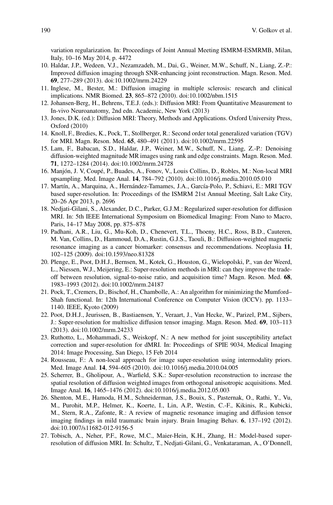variation regularization. In: Proceedings of Joint Annual Meeting ISMRM-ESMRMB, Milan, Italy, 10–16 May 2014, p. 4472

- <span id="page-9-6"></span>10. Haldar, J.P., Wedeen, V.J., Nezamzadeh, M., Dai, G., Weiner, M.W., Schuff, N., Liang, Z.-P.: Improved diffusion imaging through SNR-enhancing joint reconstruction. Magn. Reson. Med. **69**, 277–289 (2013). doi:10.1002/mrm.24229
- <span id="page-9-0"></span>11. Inglese, M., Bester, M.: Diffusion imaging in multiple sclerosis: research and clinical implications. NMR Biomed. **23**, 865–872 (2010). doi:10.1002/nbm.1515
- <span id="page-9-3"></span>12. Johansen-Berg, H., Behrens, T.E.J. (eds.): Diffusion MRI: From Quantitative Measurement to In-vivo Neuroanatomy, 2nd edn. Academic, New York (2013)
- <span id="page-9-4"></span>13. Jones, D.K. (ed.): Diffusion MRI: Theory, Methods and Applications. Oxford University Press, Oxford (2010)
- <span id="page-9-8"></span>14. Knoll, F., Bredies, K., Pock, T., Stollberger, R.: Second order total generalized variation (TGV) for MRI. Magn. Reson. Med. **65**, 480–491 (2011). doi:10.1002/mrm.22595
- <span id="page-9-5"></span>15. Lam, F., Babacan, S.D., Haldar, J.P., Weiner, M.W., Schuff, N., Liang, Z.-P.: Denoising diffusion-weighted magnitude MR images using rank and edge constraints. Magn. Reson. Med. **71**, 1272–1284 (2014). doi:10.1002/mrm.24728
- <span id="page-9-11"></span>16. Manjón, J. V, Coupé, P., Buades, A., Fonov, V., Louis Collins, D., Robles, M.: Non-local MRI upsampling. Med. Image Anal. **14**, 784–792 (2010). doi:10.1016/j.media.2010.05.010
- <span id="page-9-9"></span>17. Martín, A., Marquina, A., Hernández-Tamames, J.A., García-Polo, P., Schiavi, E.: MRI TGV based super-resolution. In: Proceedings of the ISMRM 21st Annual Meeting, Salt Lake City, 20–26 Apr 2013, p. 2696
- <span id="page-9-10"></span>18. Nedjati-Gilani, S., Alexander, D.C., Parker, G.J.M.: Regularized super-resolution for diffusion MRI. In: 5th IEEE International Symposium on Biomedical Imaging: From Nano to Macro, Paris, 14–17 May 2008, pp. 875–878
- <span id="page-9-2"></span>19. Padhani, A.R., Liu, G., Mu-Koh, D., Chenevert, T.L., Thoeny, H.C., Ross, B.D., Cauteren, M. Van, Collins, D., Hammoud, D.A., Rustin, G.J.S., Taouli, B.: Diffusion-weighted magnetic resonance imaging as a cancer biomarker: consensus and recommendations. Neoplasia **11**, 102–125 (2009). doi:10.1593/neo.81328
- <span id="page-9-7"></span>20. Plenge, E., Poot, D.H.J., Bernsen, M., Kotek, G., Houston, G., Wielopolski, P., van der Weerd, L., Niessen, W.J., Meijering, E.: Super-resolution methods in MRI: can they improve the tradeoff between resolution, signal-to-noise ratio, and acquisition time? Magn. Reson. Med. **68**, 1983–1993 (2012). doi:10.1002/mrm.24187
- <span id="page-9-17"></span>21. Pock, T., Cremers, D., Bischof, H., Chambolle, A.: An algorithm for minimizing the Mumford– Shah functional. In: 12th International Conference on Computer Vision (ICCV). pp. 1133– 1140. IEEE, Kyoto (2009)
- <span id="page-9-14"></span>22. Poot, D.H.J., Jeurissen, B., Bastiaensen, Y., Veraart, J., Van Hecke, W., Parizel, P.M., Sijbers, J.: Super-resolution for multislice diffusion tensor imaging. Magn. Reson. Med. **69**, 103–113 (2013). doi:10.1002/mrm.24233
- <span id="page-9-15"></span>23. Ruthotto, L., Mohammadi, S., Weiskopf, N.: A new method for joint susceptibility artefact correction and super-resolution for dMRI. In: Proceedings of SPIE 9034, Medical Imaging 2014: Image Processing, San Diego, 15 Feb 2014
- <span id="page-9-12"></span>24. Rousseau, F.: A non-local approach for image super-resolution using intermodality priors. Med. Image Anal. **14**, 594–605 (2010). doi:10.1016/j.media.2010.04.005
- <span id="page-9-13"></span>25. Scherrer, B., Gholipour, A., Warfield, S.K.: Super-resolution reconstruction to increase the spatial resolution of diffusion weighted images from orthogonal anisotropic acquisitions. Med. Image Anal. **16**, 1465–1476 (2012). doi:10.1016/j.media.2012.05.003
- <span id="page-9-1"></span>26. Shenton, M.E., Hamoda, H.M., Schneiderman, J.S., Bouix, S., Pasternak, O., Rathi, Y., Vu, M., Purohit, M.P., Helmer, K., Koerte, I., Lin, A.P., Westin, C.-F., Kikinis, R., Kubicki, M., Stern, R.A., Zafonte, R.: A review of magnetic resonance imaging and diffusion tensor imaging findings in mild traumatic brain injury. Brain Imaging Behav. **6**, 137–192 (2012). doi:10.1007/s11682-012-9156-5
- <span id="page-9-16"></span>27. Tobisch, A., Neher, P.F., Rowe, M.C., Maier-Hein, K.H., Zhang, H.: Model-based superresolution of diffusion MRI. In: Schultz, T., Nedjati-Gilani, G., Venkataraman, A., O'Donnell,